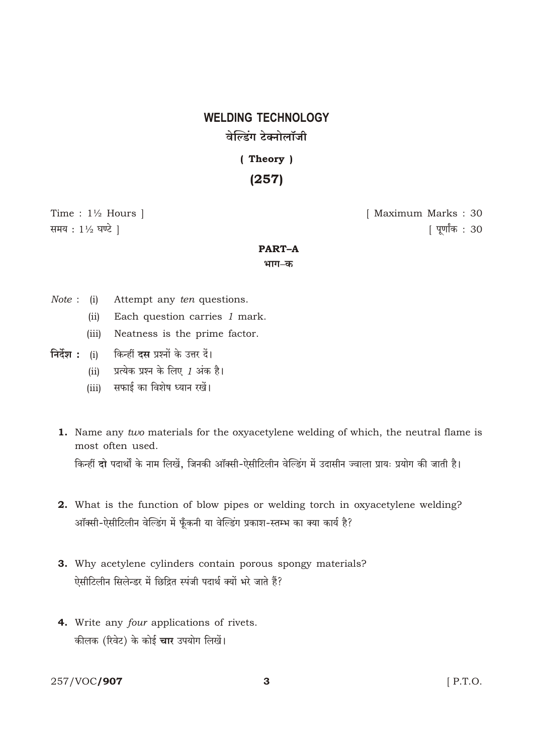# **WELDING TECHNOLOGY** वेल्डिंग टेक्नोलॉजी

(Theory)  $(257)$ 

Time :  $1\frac{1}{2}$  Hours ] समय: 11/2 घण्टे ।

[ Maximum Marks: 30 [ पूर्णांक: 30

### **PART-A**

भाग–क

- *Note*: (i) Attempt any *ten* questions.
	- Each question carries 1 mark.  $(ii)$
	- (iii) Neatness is the prime factor.
- निर्देश : (i) किन्हीं **दस** प्रश्नों के उत्तर दें।
	- प्रत्येक प्रश्न के लिए 1 अंक है।  $(ii)$
	- सफाई का विशेष ध्यान रखें।  $(iii)$
	- **1.** Name any two materials for the oxyacetylene welding of which, the neutral flame is most often used.

किन्हीं दो पदार्थों के नाम लिखें, जिनकी ऑक्सी-ऐसीटिलीन वेल्डिंग में उदासीन ज्वाला प्रायः प्रयोग की जाती है।

- 2. What is the function of blow pipes or welding torch in oxyacetylene welding? ऑक्सी-ऐसीटिलीन वेल्डिंग में फूँकनी या वेल्डिंग प्रकाश-स्तम्भ का क्या कार्य है?
- 3. Why acetylene cylinders contain porous spongy materials? ऐसीटिलीन सिलेन्डर में छिद्रित स्पंजी पदार्थ क्यों भरे जाते हैं?
- 4. Write any *four* applications of rivets. कीलक (रिवेट) के कोई **चार** उपयोग लिखें।

257/VOC/907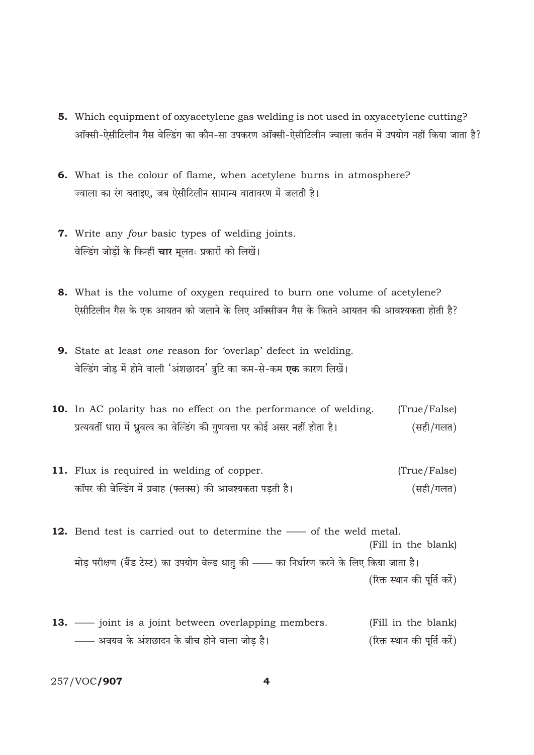- 5. Which equipment of oxyacetylene gas welding is not used in oxyacetylene cutting? ऑक्सी-ऐसीटिलीन गैस वेल्डिंग का कौन-सा उपकरण ऑक्सी-ऐसीटिलीन ज्वाला कर्तन में उपयोग नहीं किया जाता है?
- 6. What is the colour of flame, when acetylene burns in atmosphere? ज्वाला का रंग बताइए, जब ऐसीटिलीन सामान्य वातावरण में जलती है।
- 7. Write any four basic types of welding joints. वेल्डिंग जोडों के किन्हीं **चार** मुलतः प्रकारों को लिखें।
- 8. What is the volume of oxygen required to burn one volume of acetylene? ऐसीटिलीन गैस के एक आयतन को जलाने के लिए ऑक्सीजन गैस के कितने आयतन की आवश्यकता होती है?
- 9. State at least one reason for 'overlap' defect in welding. वेल्डिंग जोड में होने वाली 'अंशछादन' त्रूटि का कम-से-कम **एक** कारण लिखें।
- 10. In AC polarity has no effect on the performance of welding. (True/False) प्रत्यवर्ती धारा में ध्रुवत्व का वेल्डिंग की गुणवत्ता पर कोई असर नहीं होता है। (सही/गलत)
- 11. Flux is required in welding of copper. (True/False) कॉपर की वेल्डिंग में प्रवाह (फ्लक्स) की आवश्यकता पडती है। (सही/गलत)
- 12. Bend test is carried out to determine the of the weld metal. (Fill in the blank) मोड़ परीक्षण (बैंड टेस्ट) का उपयोग वेल्ड धातु की —— का निर्धारण करने के लिए किया जाता है। (रिक्त स्थान की पूर्ति करें)
- **13.** joint is a joint between overlapping members. (Fill in the blank) —— अवयव के अंशछादन के बीच होने वाला जोड़ है। (रिक्त स्थान की पूर्ति करें)

257/VOC/907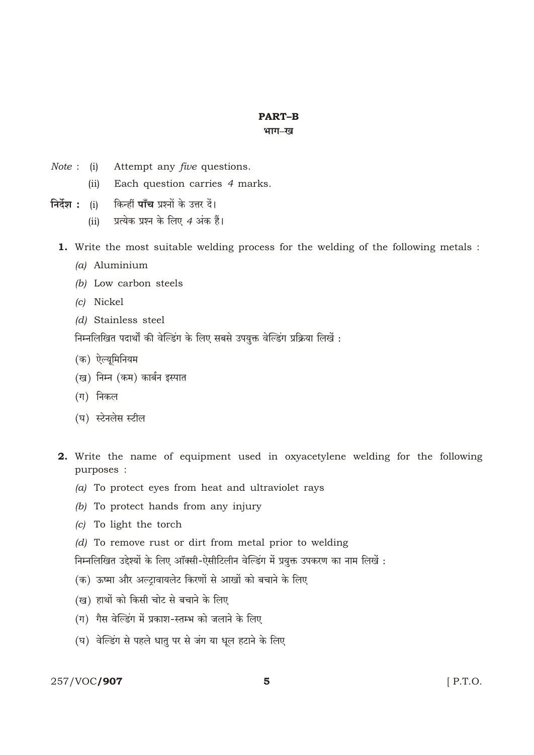## **PART-B**

#### भाग-ख

- Attempt any *five* questions. *Note* : (i)
	- Each question carries 4 marks.  $(ii)$
- किन्हीं **पाँच** प्रश्नों के उत्तर दें। निर्देश :  $(i)$ 
	- प्रत्येक प्रश्न के लिए 4 अंक हैं।  $(ii)$
	- 1. Write the most suitable welding process for the welding of the following metals :
		- (a) Aluminium
		- $(b)$  Low carbon steels
		- (c) Nickel
		- (d) Stainless steel

निम्नलिखित पदार्थों की वेल्डिंग के लिए सबसे उपयुक्त वेल्डिंग प्रक्रिया लिखें :

- (क) ऐल्युमिनियम
- (ख) निम्न (कम) कार्बन इस्पात
- (ग) निकल
- (घ) स्टेनलेस स्टील
- 2. Write the name of equipment used in oxyacetylene welding for the following purposes :
	- (a) To protect eyes from heat and ultraviolet rays
	- $(b)$  To protect hands from any injury
	- (c) To light the torch
	- (d) To remove rust or dirt from metal prior to welding

निम्नलिखित उद्देश्यों के लिए ऑक्सी-ऐसीटिलीन वेल्डिंग में प्रयुक्त उपकरण का नाम लिखें :

- (क) ऊष्मा और अल्ट्रावायलेट किरणों से आखों को बचाने के लिए
- (ख) हाथों को किसी चोट से बचाने के लिए
- (ग) गैस वेल्डिंग में प्रकाश-स्तम्भ को जलाने के लिए
- (घ) वेल्डिंग से पहले धातु पर से जंग या धूल हटाने के लिए

## 257/VOC/907